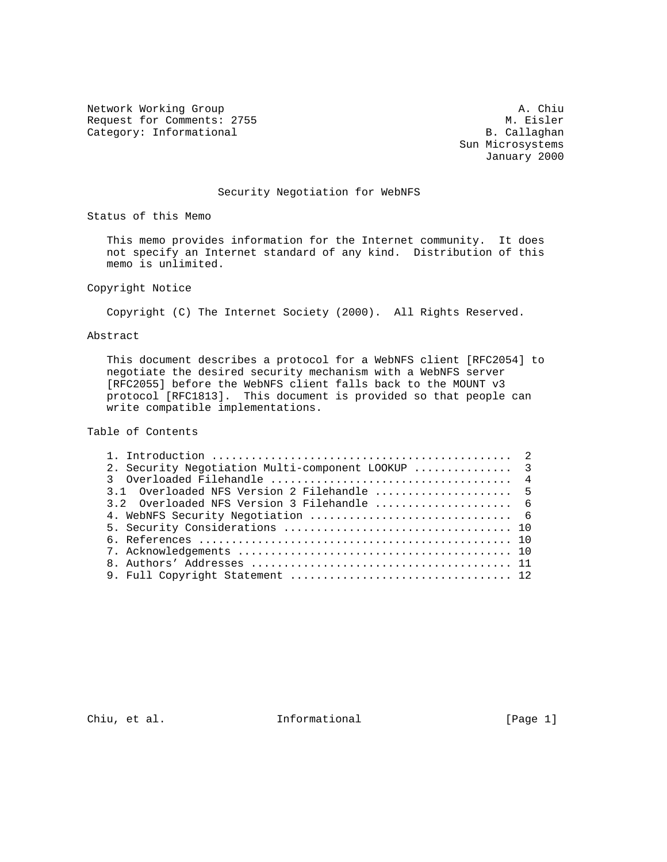Network Working Group<br>Request for Comments: 2755 M. Eisler Request for Comments: 2755 M. Eisler<br>
Category: Informational Media and B. Callaghan Category: Informational

 Sun Microsystems January 2000

### Security Negotiation for WebNFS

Status of this Memo

 This memo provides information for the Internet community. It does not specify an Internet standard of any kind. Distribution of this memo is unlimited.

Copyright Notice

Copyright (C) The Internet Society (2000). All Rights Reserved.

Abstract

 This document describes a protocol for a WebNFS client [RFC2054] to negotiate the desired security mechanism with a WebNFS server [RFC2055] before the WebNFS client falls back to the MOUNT v3 protocol [RFC1813]. This document is provided so that people can write compatible implementations.

Table of Contents

| 2. Security Negotiation Multi-component LOOKUP  3 |  |
|---------------------------------------------------|--|
|                                                   |  |
| 3.1 Overloaded NFS Version 2 Filehandle  5        |  |
| 3.2 Overloaded NFS Version 3 Filehandle  6        |  |
|                                                   |  |
|                                                   |  |
|                                                   |  |
|                                                   |  |
|                                                   |  |
|                                                   |  |

Chiu, et al. 100 Informational 100 [Page 1]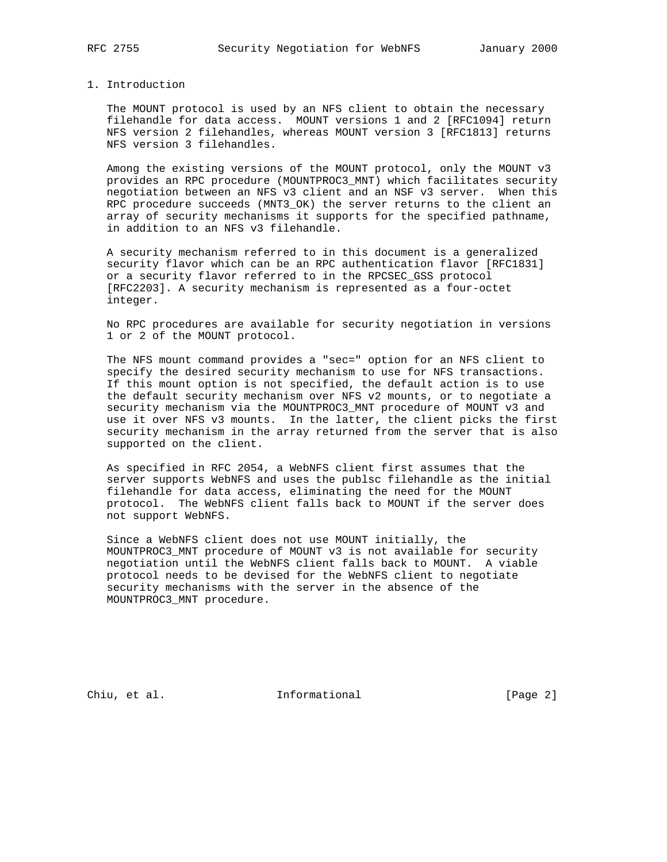#### 1. Introduction

 The MOUNT protocol is used by an NFS client to obtain the necessary filehandle for data access. MOUNT versions 1 and 2 [RFC1094] return NFS version 2 filehandles, whereas MOUNT version 3 [RFC1813] returns NFS version 3 filehandles.

 Among the existing versions of the MOUNT protocol, only the MOUNT v3 provides an RPC procedure (MOUNTPROC3\_MNT) which facilitates security negotiation between an NFS v3 client and an NSF v3 server. When this RPC procedure succeeds (MNT3\_OK) the server returns to the client an array of security mechanisms it supports for the specified pathname, in addition to an NFS v3 filehandle.

 A security mechanism referred to in this document is a generalized security flavor which can be an RPC authentication flavor [RFC1831] or a security flavor referred to in the RPCSEC\_GSS protocol [RFC2203]. A security mechanism is represented as a four-octet integer.

 No RPC procedures are available for security negotiation in versions 1 or 2 of the MOUNT protocol.

 The NFS mount command provides a "sec=" option for an NFS client to specify the desired security mechanism to use for NFS transactions. If this mount option is not specified, the default action is to use the default security mechanism over NFS v2 mounts, or to negotiate a security mechanism via the MOUNTPROC3\_MNT procedure of MOUNT v3 and use it over NFS v3 mounts. In the latter, the client picks the first security mechanism in the array returned from the server that is also supported on the client.

 As specified in RFC 2054, a WebNFS client first assumes that the server supports WebNFS and uses the publsc filehandle as the initial filehandle for data access, eliminating the need for the MOUNT protocol. The WebNFS client falls back to MOUNT if the server does not support WebNFS.

 Since a WebNFS client does not use MOUNT initially, the MOUNTPROC3\_MNT procedure of MOUNT v3 is not available for security negotiation until the WebNFS client falls back to MOUNT. A viable protocol needs to be devised for the WebNFS client to negotiate security mechanisms with the server in the absence of the MOUNTPROC3\_MNT procedure.

Chiu, et al. 100 mm informational 100 mm informational [Page 2]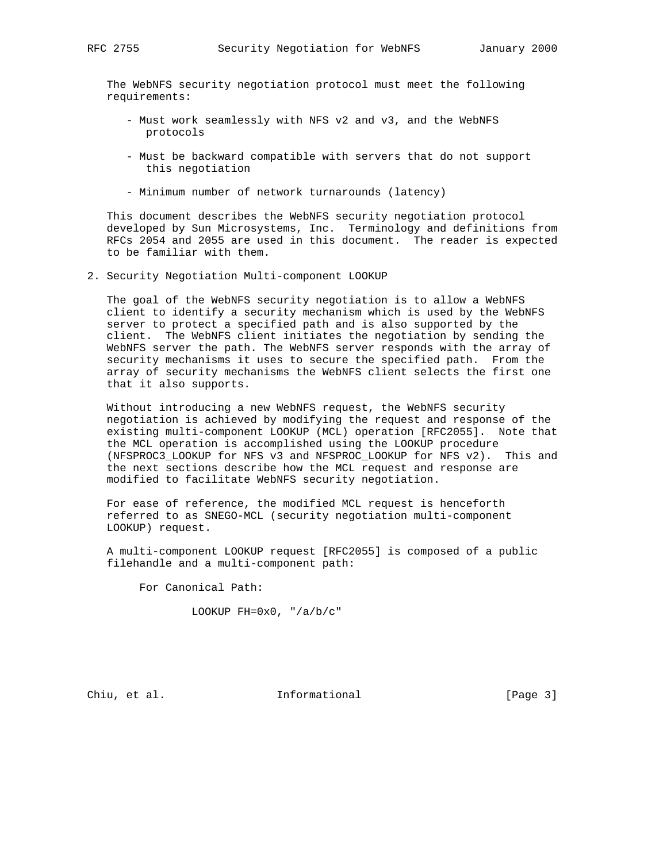The WebNFS security negotiation protocol must meet the following requirements:

- Must work seamlessly with NFS v2 and v3, and the WebNFS protocols
- Must be backward compatible with servers that do not support this negotiation
- Minimum number of network turnarounds (latency)

 This document describes the WebNFS security negotiation protocol developed by Sun Microsystems, Inc. Terminology and definitions from RFCs 2054 and 2055 are used in this document. The reader is expected to be familiar with them.

2. Security Negotiation Multi-component LOOKUP

 The goal of the WebNFS security negotiation is to allow a WebNFS client to identify a security mechanism which is used by the WebNFS server to protect a specified path and is also supported by the client. The WebNFS client initiates the negotiation by sending the WebNFS server the path. The WebNFS server responds with the array of security mechanisms it uses to secure the specified path. From the array of security mechanisms the WebNFS client selects the first one that it also supports.

 Without introducing a new WebNFS request, the WebNFS security negotiation is achieved by modifying the request and response of the existing multi-component LOOKUP (MCL) operation [RFC2055]. Note that the MCL operation is accomplished using the LOOKUP procedure (NFSPROC3\_LOOKUP for NFS v3 and NFSPROC\_LOOKUP for NFS v2). This and the next sections describe how the MCL request and response are modified to facilitate WebNFS security negotiation.

 For ease of reference, the modified MCL request is henceforth referred to as SNEGO-MCL (security negotiation multi-component LOOKUP) request.

 A multi-component LOOKUP request [RFC2055] is composed of a public filehandle and a multi-component path:

For Canonical Path:

LOOKUP FH=0x0, "/a/b/c"

Chiu, et al. 10 Informational 1999 [Page 3]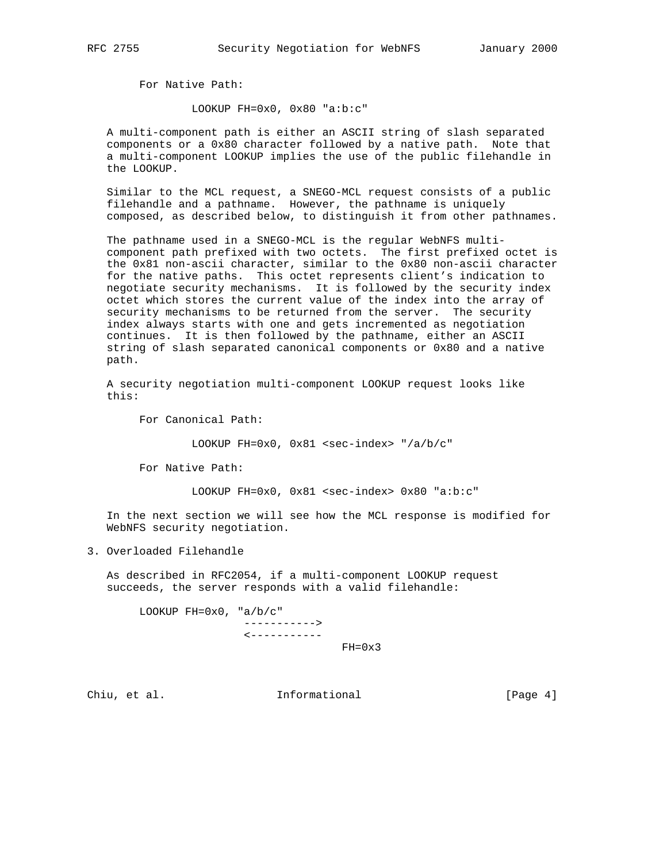For Native Path:

LOOKUP FH=0x0, 0x80 "a:b:c"

 A multi-component path is either an ASCII string of slash separated components or a 0x80 character followed by a native path. Note that a multi-component LOOKUP implies the use of the public filehandle in the LOOKUP.

 Similar to the MCL request, a SNEGO-MCL request consists of a public filehandle and a pathname. However, the pathname is uniquely composed, as described below, to distinguish it from other pathnames.

 The pathname used in a SNEGO-MCL is the regular WebNFS multi component path prefixed with two octets. The first prefixed octet is the 0x81 non-ascii character, similar to the 0x80 non-ascii character for the native paths. This octet represents client's indication to negotiate security mechanisms. It is followed by the security index octet which stores the current value of the index into the array of security mechanisms to be returned from the server. The security index always starts with one and gets incremented as negotiation continues. It is then followed by the pathname, either an ASCII string of slash separated canonical components or 0x80 and a native path.

 A security negotiation multi-component LOOKUP request looks like this:

For Canonical Path:

LOOKUP FH=0x0,  $0x81$  <sec-index> "/a/b/c"

For Native Path:

LOOKUP FH=0x0, 0x81 <sec-index> 0x80 "a:b:c"

 In the next section we will see how the MCL response is modified for WebNFS security negotiation.

3. Overloaded Filehandle

 As described in RFC2054, if a multi-component LOOKUP request succeeds, the server responds with a valid filehandle:

LOOKUP  $FH=0x0$ , "a/b/c" -----------> <-----------

 $FH=0 \times 3$ 

Chiu, et al. 100 mm informational 100 mm informational [Page 4]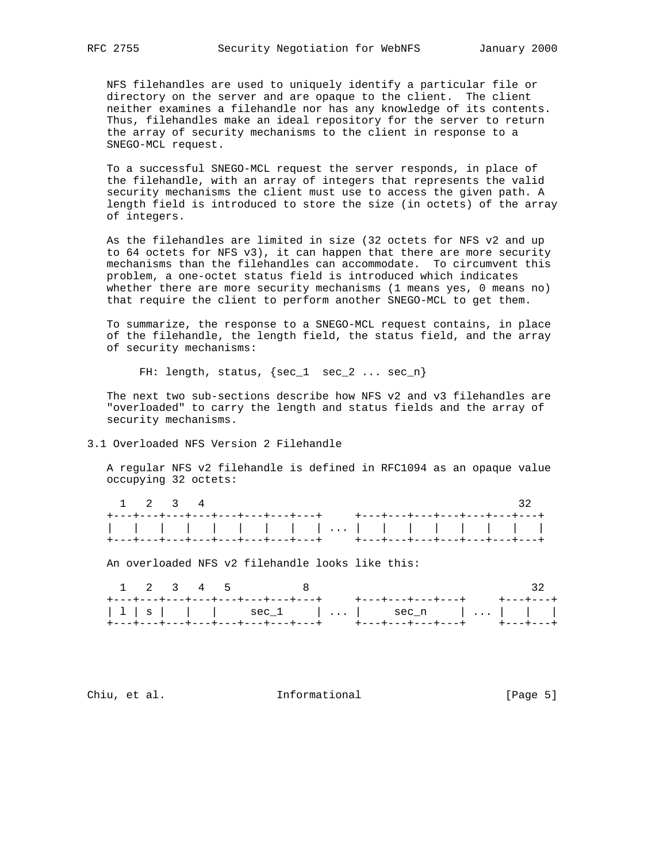NFS filehandles are used to uniquely identify a particular file or directory on the server and are opaque to the client. The client neither examines a filehandle nor has any knowledge of its contents. Thus, filehandles make an ideal repository for the server to return the array of security mechanisms to the client in response to a SNEGO-MCL request.

 To a successful SNEGO-MCL request the server responds, in place of the filehandle, with an array of integers that represents the valid security mechanisms the client must use to access the given path. A length field is introduced to store the size (in octets) of the array of integers.

 As the filehandles are limited in size (32 octets for NFS v2 and up to 64 octets for NFS v3), it can happen that there are more security mechanisms than the filehandles can accommodate. To circumvent this problem, a one-octet status field is introduced which indicates whether there are more security mechanisms (1 means yes, 0 means no) that require the client to perform another SNEGO-MCL to get them.

 To summarize, the response to a SNEGO-MCL request contains, in place of the filehandle, the length field, the status field, and the array of security mechanisms:

FH: length, status,  $\{sec_1$  sec\_2 ...  $sec_n\}$ 

 The next two sub-sections describe how NFS v2 and v3 filehandles are "overloaded" to carry the length and status fields and the array of security mechanisms.

# 3.1 Overloaded NFS Version 2 Filehandle

 A regular NFS v2 filehandle is defined in RFC1094 as an opaque value occupying 32 octets:

|  | $1 \t2 \t3 \t4$ |                                                                     |  |  |  |  |  |  |  |
|--|-----------------|---------------------------------------------------------------------|--|--|--|--|--|--|--|
|  |                 | +---+---+---+---+---+---+---+---+    +---+----+---+---+---+---+---+ |  |  |  |  |  |  |  |
|  |                 |                                                                     |  |  |  |  |  |  |  |
|  |                 |                                                                     |  |  |  |  |  |  |  |

An overloaded NFS v2 filehandle looks like this:

|  |  |  | $1$ 2 3 4 5 8 |  | $\sim$ 32                                                        |  |  |  |
|--|--|--|---------------|--|------------------------------------------------------------------|--|--|--|
|  |  |  |               |  | +---+----+---+---+---+---+---+---+   +---+----+----+   +---+---+ |  |  |  |
|  |  |  |               |  | $ 1 s $     sec_1      sec_n                                     |  |  |  |
|  |  |  |               |  | +---+----+---+---+---+---+---+---+   +---+----+----+   +---+---+ |  |  |  |

Chiu, et al. 10 mm informational 100 mm informational [Page 5]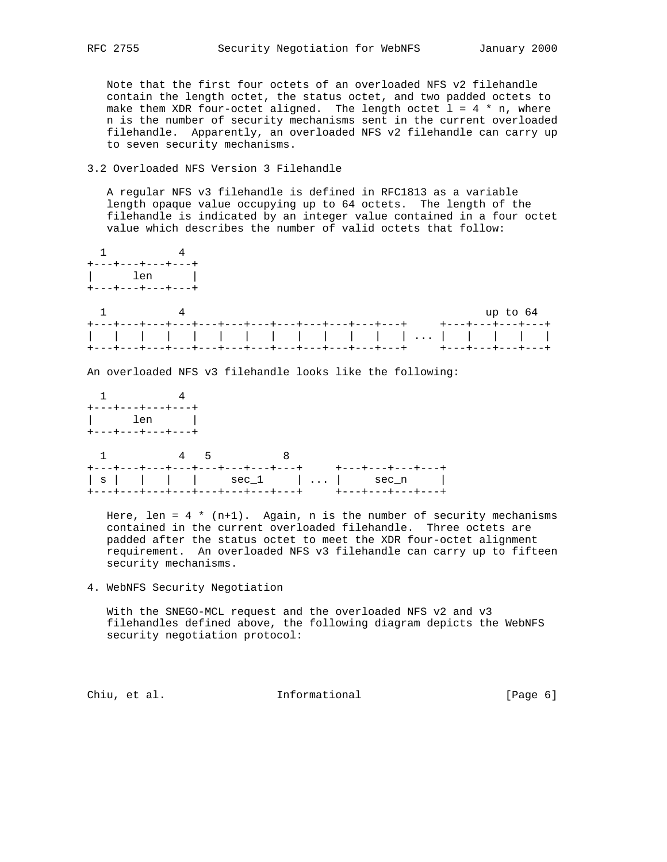Note that the first four octets of an overloaded NFS v2 filehandle contain the length octet, the status octet, and two padded octets to make them XDR four-octet aligned. The length octet  $1 = 4 * n$ , where n is the number of security mechanisms sent in the current overloaded filehandle. Apparently, an overloaded NFS v2 filehandle can carry up to seven security mechanisms.

### 3.2 Overloaded NFS Version 3 Filehandle

 A regular NFS v3 filehandle is defined in RFC1813 as a variable length opaque value occupying up to 64 octets. The length of the filehandle is indicated by an integer value contained in a four octet value which describes the number of valid octets that follow:



 filehandles defined above, the following diagram depicts the WebNFS security negotiation protocol:

Chiu, et al. Informational [Page 6]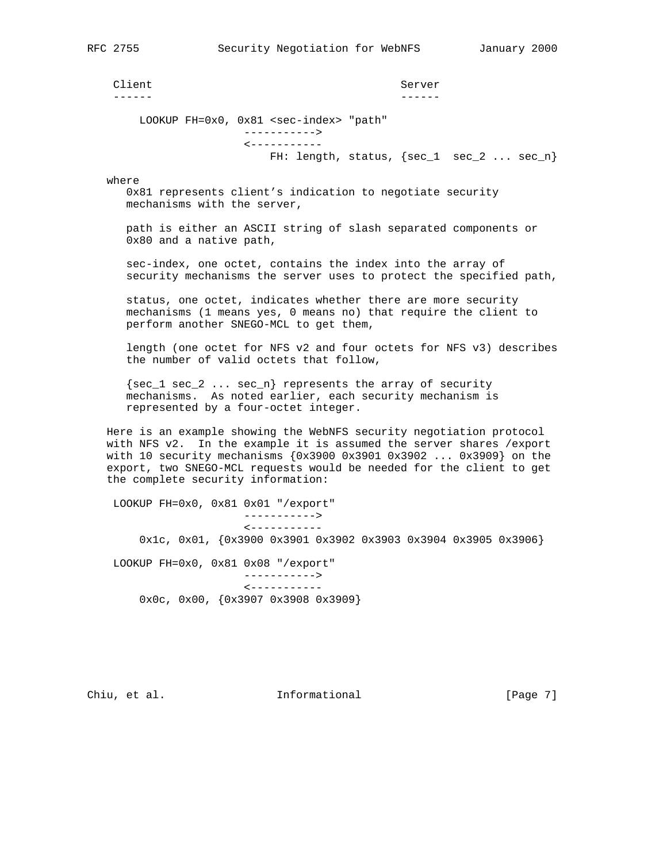Client Server ------ ------

> LOOKUP FH=0x0, 0x81 <sec-index> "path" -----------> <----------- FH: length, status, {sec\_1 sec\_2 ... sec\_n}

where

 0x81 represents client's indication to negotiate security mechanisms with the server,

 path is either an ASCII string of slash separated components or 0x80 and a native path,

 sec-index, one octet, contains the index into the array of security mechanisms the server uses to protect the specified path,

 status, one octet, indicates whether there are more security mechanisms (1 means yes, 0 means no) that require the client to perform another SNEGO-MCL to get them,

 length (one octet for NFS v2 and four octets for NFS v3) describes the number of valid octets that follow,

 $\{sec_1 sec_2 ... sec_n\}$  represents the array of security mechanisms. As noted earlier, each security mechanism is represented by a four-octet integer.

 Here is an example showing the WebNFS security negotiation protocol with NFS v2. In the example it is assumed the server shares /export with 10 security mechanisms {0x3900 0x3901 0x3902 ... 0x3909} on the export, two SNEGO-MCL requests would be needed for the client to get the complete security information:

 LOOKUP FH=0x0, 0x81 0x01 "/export" -----------> <----------- 0x1c, 0x01, {0x3900 0x3901 0x3902 0x3903 0x3904 0x3905 0x3906} LOOKUP FH=0x0, 0x81 0x08 "/export" -----------> <----------- 0x0c, 0x00, {0x3907 0x3908 0x3909}

Chiu, et al. Informational [Page 7]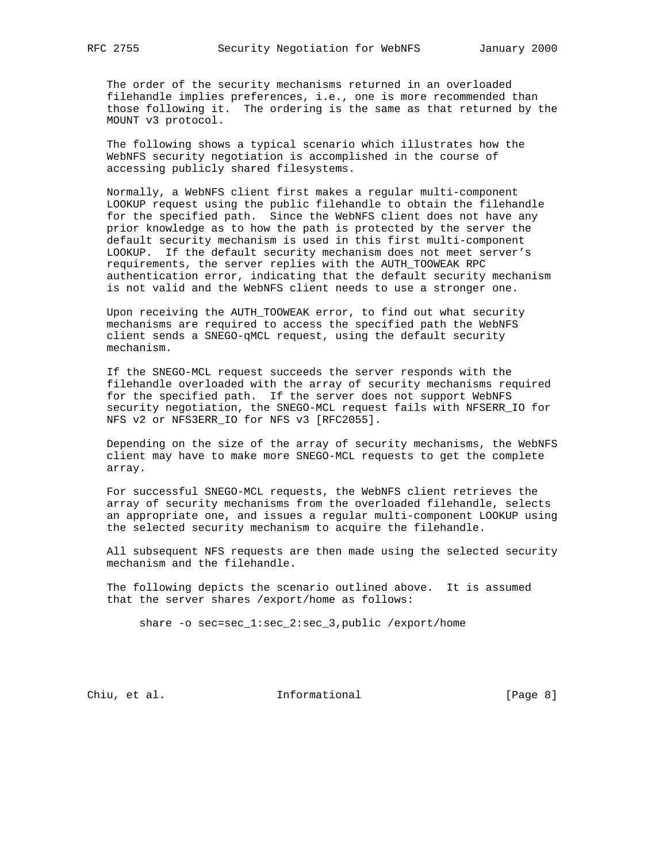The order of the security mechanisms returned in an overloaded filehandle implies preferences, i.e., one is more recommended than those following it. The ordering is the same as that returned by the MOUNT v3 protocol.

 The following shows a typical scenario which illustrates how the WebNFS security negotiation is accomplished in the course of accessing publicly shared filesystems.

 Normally, a WebNFS client first makes a regular multi-component LOOKUP request using the public filehandle to obtain the filehandle for the specified path. Since the WebNFS client does not have any prior knowledge as to how the path is protected by the server the default security mechanism is used in this first multi-component LOOKUP. If the default security mechanism does not meet server's requirements, the server replies with the AUTH\_TOOWEAK RPC authentication error, indicating that the default security mechanism is not valid and the WebNFS client needs to use a stronger one.

 Upon receiving the AUTH\_TOOWEAK error, to find out what security mechanisms are required to access the specified path the WebNFS client sends a SNEGO-qMCL request, using the default security mechanism.

 If the SNEGO-MCL request succeeds the server responds with the filehandle overloaded with the array of security mechanisms required for the specified path. If the server does not support WebNFS security negotiation, the SNEGO-MCL request fails with NFSERR\_IO for NFS v2 or NFS3ERR\_IO for NFS v3 [RFC2055].

 Depending on the size of the array of security mechanisms, the WebNFS client may have to make more SNEGO-MCL requests to get the complete array.

 For successful SNEGO-MCL requests, the WebNFS client retrieves the array of security mechanisms from the overloaded filehandle, selects an appropriate one, and issues a regular multi-component LOOKUP using the selected security mechanism to acquire the filehandle.

 All subsequent NFS requests are then made using the selected security mechanism and the filehandle.

 The following depicts the scenario outlined above. It is assumed that the server shares /export/home as follows:

share -o sec=sec\_1:sec\_2:sec\_3,public /export/home

Chiu, et al. 100 mm informational 100 mm informational [Page 8]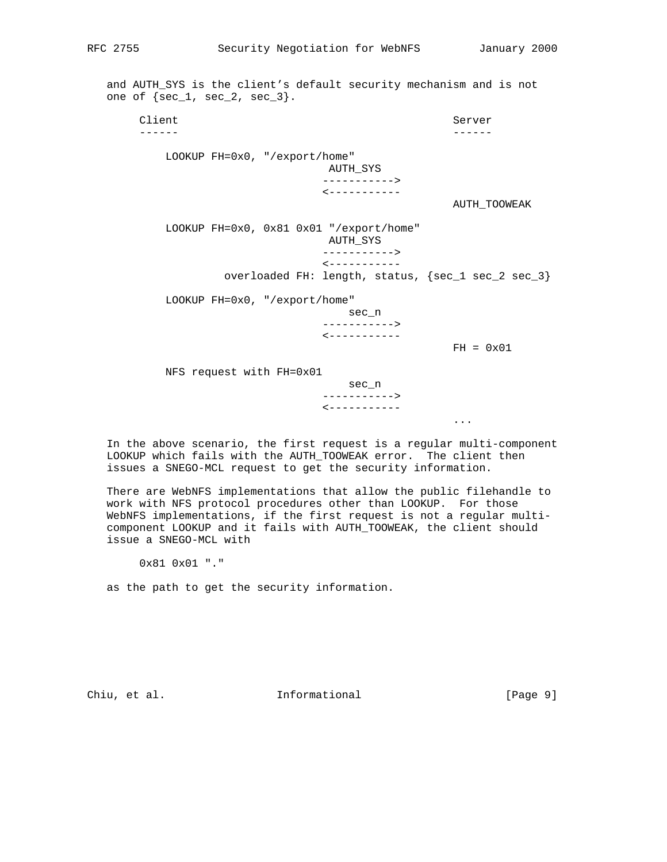and AUTH\_SYS is the client's default security mechanism and is not one of  $\{sec_1, sec_2, sec_3\}$ .

Client Server Server Server Server Server Server Server Server Server Server Server Server Server Server Server ------ ------ LOOKUP FH=0x0, "/export/home" AUTH\_SYS -----------> <----------- AUTH\_TOOWEAK LOOKUP FH=0x0, 0x81 0x01 "/export/home" AUTH\_SYS -----------> <---------- overloaded FH: length, status, {sec\_1 sec\_2 sec\_3} LOOKUP FH=0x0, "/export/home" sec\_n -----------> <-----------  $FH = 0x01$  NFS request with FH=0x01 sec\_n -----------> <----------- ...

 In the above scenario, the first request is a regular multi-component LOOKUP which fails with the AUTH\_TOOWEAK error. The client then issues a SNEGO-MCL request to get the security information.

 There are WebNFS implementations that allow the public filehandle to work with NFS protocol procedures other than LOOKUP. For those WebNFS implementations, if the first request is not a regular multi component LOOKUP and it fails with AUTH\_TOOWEAK, the client should issue a SNEGO-MCL with

0x81 0x01 "."

as the path to get the security information.

Chiu, et al. 100 mm informational 100 mm informational [Page 9]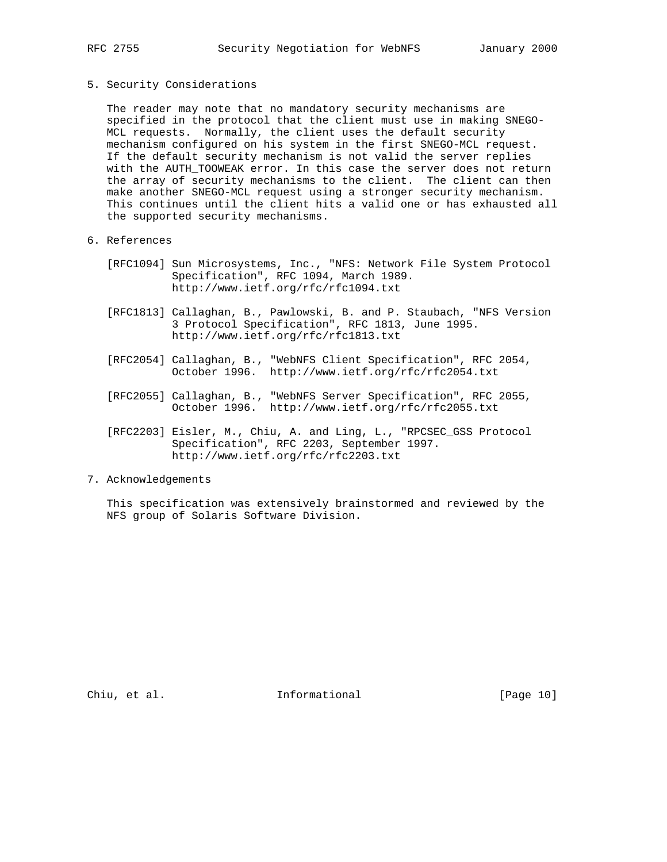#### 5. Security Considerations

 The reader may note that no mandatory security mechanisms are specified in the protocol that the client must use in making SNEGO- MCL requests. Normally, the client uses the default security mechanism configured on his system in the first SNEGO-MCL request. If the default security mechanism is not valid the server replies with the AUTH\_TOOWEAK error. In this case the server does not return the array of security mechanisms to the client. The client can then make another SNEGO-MCL request using a stronger security mechanism. This continues until the client hits a valid one or has exhausted all the supported security mechanisms.

# 6. References

- [RFC1094] Sun Microsystems, Inc., "NFS: Network File System Protocol Specification", RFC 1094, March 1989. http://www.ietf.org/rfc/rfc1094.txt
- [RFC1813] Callaghan, B., Pawlowski, B. and P. Staubach, "NFS Version 3 Protocol Specification", RFC 1813, June 1995. http://www.ietf.org/rfc/rfc1813.txt
- [RFC2054] Callaghan, B., "WebNFS Client Specification", RFC 2054, October 1996. http://www.ietf.org/rfc/rfc2054.txt
- [RFC2055] Callaghan, B., "WebNFS Server Specification", RFC 2055, October 1996. http://www.ietf.org/rfc/rfc2055.txt
- [RFC2203] Eisler, M., Chiu, A. and Ling, L., "RPCSEC\_GSS Protocol Specification", RFC 2203, September 1997. http://www.ietf.org/rfc/rfc2203.txt

# 7. Acknowledgements

 This specification was extensively brainstormed and reviewed by the NFS group of Solaris Software Division.

Chiu, et al. 10 mm informational 10 mm informational [Page 10]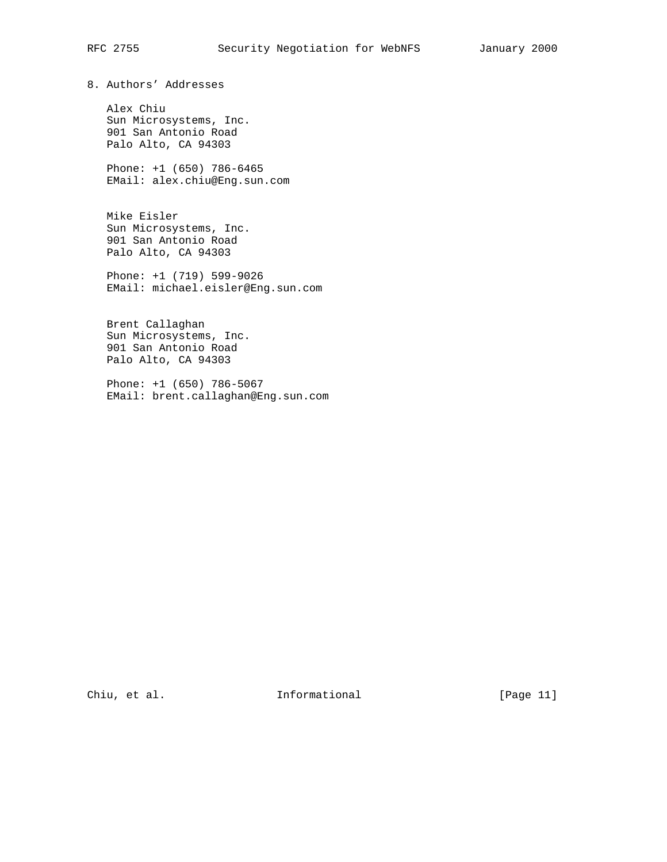8. Authors' Addresses

 Alex Chiu Sun Microsystems, Inc. 901 San Antonio Road Palo Alto, CA 94303

 Phone: +1 (650) 786-6465 EMail: alex.chiu@Eng.sun.com

 Mike Eisler Sun Microsystems, Inc. 901 San Antonio Road Palo Alto, CA 94303

 Phone: +1 (719) 599-9026 EMail: michael.eisler@Eng.sun.com

 Brent Callaghan Sun Microsystems, Inc. 901 San Antonio Road Palo Alto, CA 94303

 Phone: +1 (650) 786-5067 EMail: brent.callaghan@Eng.sun.com

Chiu, et al. 100 Informational 100 [Page 11]